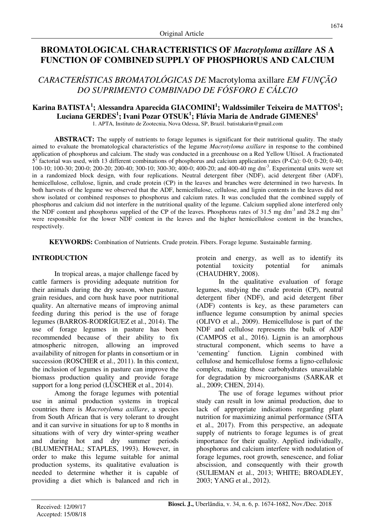# **BROMATOLOGICAL CHARACTERISTICS OF** *Macrotyloma axillare* **AS A FUNCTION OF COMBINED SUPPLY OF PHOSPHORUS AND CALCIUM**

*CARACTERÍSTICAS BROMATOLÓGICAS DE* Macrotyloma axillare *EM FUNÇÃO DO SUPRIMENTO COMBINADO DE FÓSFORO E CÁLCIO* 

# **Karina BATISTA<sup>1</sup> ; Alessandra Aparecida GIACOMINI<sup>1</sup> ; Waldssimiler Teixeira de MATTOS<sup>1</sup> ; Luciana GERDES<sup>1</sup> ; Ivani Pozar OTSUK<sup>1</sup> ; Flávia Maria de Andrade GIMENES<sup>1</sup>**

1. APTA, Instituto de Zootecnia, Nova Odessa, SP, Brazil. batistakarin@gmail.com

**ABSTRACT:** The supply of nutrients to forage legumes is significant for their nutritional quality. The study aimed to evaluate the bromatological characteristics of the legume *Macrotyloma axillare* in response to the combined application of phosphorus and calcium. The study was conducted in a greenhouse on a Red Yellow Ultisol. A fractionated  $5<sup>2</sup>$  factorial was used, with 13 different combinations of phosphorus and calcium application rates (P-Ca): 0-0; 0-20; 0-40; 100-10; 100-30; 200-0; 200-20; 200-40; 300-10; 300-30; 400-0; 400-20; and 400-40 mg dm-3. Experimental units were set in a randomized block design, with four replications. Neutral detergent fiber (NDF), acid detergent fiber (ADF), hemicellulose, cellulose, lignin, and crude protein (CP) in the leaves and branches were determined in two harvests. In both harvests of the legume we observed that the ADF, hemicellulose, cellulose, and lignin contents in the leaves did not show isolated or combined responses to phosphorus and calcium rates. It was concluded that the combined supply of phosphorus and calcium did not interfere in the nutritional quality of the legume. Calcium supplied alone interfered only the NDF content and phosphorus supplied of the CP of the leaves. Phosphorus rates of 31.5 mg dm<sup>-3</sup> and 28.2 mg dm<sup>-3</sup> were responsible for the lower NDF content in the leaves and the higher hemicellulose content in the branches, respectively.

**KEYWORDS:** Combination of Nutrients. Crude protein. Fibers. Forage legume. Sustainable farming.

# **INTRODUCTION**

In tropical areas, a major challenge faced by cattle farmers is providing adequate nutrition for their animals during the dry season, when pasture, grain residues, and corn husk have poor nutritional quality. An alternative means of improving animal feeding during this period is the use of forage legumes (BARROS-RODRÍGUEZ et al., 2014). The use of forage legumes in pasture has been recommended because of their ability to fix atmospheric nitrogen, allowing an improved availability of nitrogen for plants in consortium or in succession (ROSCHER et al., 2011). In this context, the inclusion of legumes in pasture can improve the biomass production quality and provide forage support for a long period (LÜSCHER et al., 2014).

Among the forage legumes with potential use in animal production systems in tropical countries there is *Macrotyloma axillare*, a species from South African that is very tolerant to drought and it can survive in situations for up to 8 months in situations with of very dry winter-spring weather and during hot and dry summer periods (BLUMENTHAL; STAPLES, 1993). However, in order to make this legume suitable for animal production systems, its qualitative evaluation is needed to determine whether it is capable of providing a diet which is balanced and rich in protein and energy, as well as to identify its potential toxicity potential for animals (CHAUDHRY, 2008).

In the qualitative evaluation of forage legumes, studying the crude protein (CP), neutral detergent fiber (NDF), and acid detergent fiber (ADF) contents is key, as these parameters can influence legume consumption by animal species (OLIVO et al., 2009). Hemicellulose is part of the NDF and cellulose represents the bulk of ADF (CAMPOS et al., 2016). Lignin is an amorphous structural component, which seems to have a 'cementing' function. Lignin combined with cellulose and hemicellulose forms a ligno-cellulosic complex, making those carbohydrates unavailable for degradation by microorganisms (SARKAR et al., 2009; CHEN, 2014).

The use of forage legumes without prior study can result in low animal production, due to lack of appropriate indications regarding plant nutrition for maximizing animal performance (SITA et al., 2017). From this perspective, an adequate supply of nutrients to forage legumes is of great importance for their quality. Applied individually, phosphorus and calcium interfere with nodulation of forage legumes, root growth, senescence, and foliar abscission, and consequently with their growth (SULIEMAN et al., 2013; WHITE; BROADLEY, 2003; YANG et al., 2012).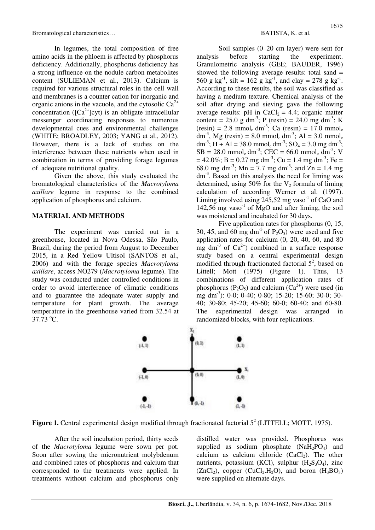Bromatological characteristics… and the set of the set of the BATISTA, K. et al.

In legumes, the total composition of free amino acids in the phloem is affected by phosphorus deficiency. Additionally, phosphorus deficiency has a strong influence on the nodule carbon metabolites content (SULIEMAN et al., 2013). Calcium is required for various structural roles in the cell wall and membranes is a counter cation for inorganic and organic anions in the vacuole, and the cytosolic  $Ca^{2+}$ concentration ( $[Ca^{2+}$ ]cyt) is an obligate intracellular messenger coordinating responses to numerous developmental cues and environmental challenges (WHITE; BROADLEY, 2003; YANG et al., 2012). However, there is a lack of studies on the interference between these nutrients when used in combination in terms of providing forage legumes of adequate nutritional quality.

Given the above, this study evaluated the bromatological characteristics of the *Macrotyloma axillare* legume in response to the combined application of phosphorus and calcium.

### **MATERIAL AND METHODS**

The experiment was carried out in a greenhouse, located in Nova Odessa, São Paulo, Brazil, during the period from August to December 2015, in a Red Yellow Ultisol (SANTOS et al., 2006) and with the forage species *Macrotyloma axillare*, access NO279 (*Macrotyloma* legume). The study was conducted under controlled conditions in order to avoid interference of climatic conditions and to guarantee the adequate water supply and temperature for plant growth. The average temperature in the greenhouse varied from 32.54 at  $37.73 \text{ °C}$ .

Soil samples (0–20 cm layer) were sent for analysis before starting the experiment. Granulometric analysis (GEE; BAUDER, 1996) showed the following average results: total sand = 560 g kg<sup>-1</sup>, silt = 162 g kg<sup>-1</sup>, and clay = 278 g kg<sup>-1</sup>. According to these results, the soil was classified as having a medium texture. Chemical analysis of the soil after drying and sieving gave the following average results: pH in  $CaCl<sub>2</sub> = 4.4$ ; organic matter content = 25.0 g dm<sup>-3</sup>; P (resin) = 24.0 mg dm<sup>-3</sup>; K  $(resin) = 2.8$  mmol<sub>c</sub> dm<sup>-3</sup>; Ca (resin) = 17.0 mmol<sub>c</sub> dm<sup>-3</sup>, Mg (resin) = 8.0 mmol<sub>c</sub> dm<sup>-3</sup>; Al = 3.0 mmol<sub>c</sub>  $dm^{-3}$ ; H + Al = 38.0 mmol<sub>c</sub> dm<sup>-3</sup>; SO<sub>4</sub> = 3.0 mg dm<sup>-3</sup>;  $SB = 28.0 \text{ mmol}_c \text{ dm}^{-3}$ ;  $CEC = 66.0 \text{ mmol}_c \text{ dm}^{-3}$ ; V  $= 42.0\%$ ; B = 0.27 mg dm<sup>-3</sup>; Cu = 1.4 mg dm<sup>-3</sup>; Fe = 68.0 mg dm<sup>-3</sup>; Mn = 7.7 mg dm<sup>-3</sup>; and  $\overline{Z}$ n = 1.4 mg dm<sup>-3</sup>. Based on this analysis the need for liming was determined, using 50% for the  $V_2$  formula of liming calculation of according Werner et al. (1997). Liming involved using  $245.52$  mg vaso<sup>-1</sup> of CaO and 142,56 mg vaso<sup>-1</sup> of MgO and after liming, the soil was moistened and incubated for 30 days.

Five application rates for phosphorus (0, 15, 30, 45, and 60 mg dm<sup>-3</sup> of P<sub>2</sub>O<sub>5</sub>) were used and five application rates for calcium  $(0, 20, 40, 60,$  and  $80$ mg dm<sup>-3</sup> of  $Ca^{2+}$ ) combined in a surface response study based on a central experimental design modified through fractionated factorial  $5^2$ , based on Littell; Mott (1975) (Figure 1). Thus, 13 combinations of different application rates of phosphorus ( $P_2O_5$ ) and calcium ( $Ca^{2+}$ ) were used (in mg dm<sup>-3</sup>): 0-0; 0-40; 0-80; 15-20; 15-60; 30-0; 30-40; 30-80; 45-20; 45-60; 60-0; 60-40; and 60-80. The experimental design was arranged in randomized blocks, with four replications.



**Figure 1.** Central experimental design modified through fractionated factorial  $5^2$  (LITTELL; MOTT, 1975).

After the soil incubation period, thirty seeds of the *Macrotyloma* legume were sown per pot. Soon after sowing the micronutrient molybdenum and combined rates of phosphorus and calcium that corresponded to the treatments were applied. In treatments without calcium and phosphorus only distilled water was provided. Phosphorus was supplied as sodium phosphate  $(NaH<sub>2</sub>PO<sub>4</sub>)$  and calcium as calcium chloride  $(CaCl<sub>2</sub>)$ . The other nutrients, potassium (KCl), sulphur  $(H_2S_3O_4)$ , zinc  $(ZnCl<sub>2</sub>)$ , copper  $(CuCl<sub>2</sub>.H<sub>2</sub>O)$ , and boron  $(H<sub>3</sub>BO<sub>3</sub>)$ were supplied on alternate days.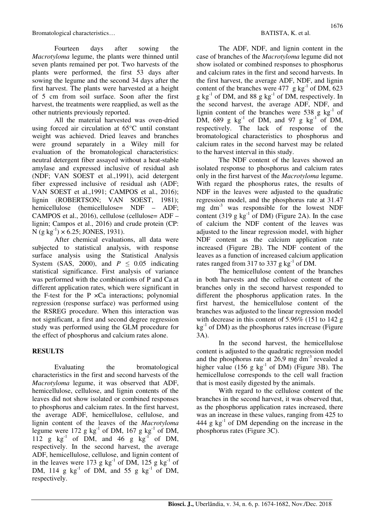Bromatological characteristics… and the set of the set of the BATISTA, K. et al.

Fourteen days after sowing the *Macrotyloma* legume, the plants were thinned until seven plants remained per pot. Two harvests of the plants were performed, the first 53 days after sowing the legume and the second 34 days after the first harvest. The plants were harvested at a height of 5 cm from soil surface. Soon after the first harvest, the treatments were reapplied, as well as the other nutrients previously reported.

All the material harvested was oven-dried using forced air circulation at 65°C until constant weight was achieved. Dried leaves and branches were ground separately in a Wiley mill for evaluation of the bromatological characteristics: neutral detergent fiber assayed without a heat-stable amylase and expressed inclusive of residual ash (NDF; VAN SOEST et al.,1991), acid detergent fiber expressed inclusive of residual ash (ADF; VAN SOEST et al.,1991; CAMPOS et al., 2016); lignin (ROBERTSON; VAN SOEST, 1981); hemicellulose (hemicellulose= NDF – ADF; CAMPOS et al., 2016), cellulose (cellulose= ADF – lignin; Campos et al., 2016) and crude protein (CP: N (g kg<sup>-1</sup>)  $\times$  6.25; JONES, 1931).

After chemical evaluations, all data were subjected to statistical analysis, with response surface analysis using the Statistical Analysis System (SAS, 2000), and  $P \leq 0.05$  indicating statistical significance. First analysis of variance was performed with the combinations of P and Ca at different application rates, which were significant in the F-test for the  $P \times Ca$  interactions; polynomial regression (response surface) was performed using the RSREG procedure. When this interaction was not significant, a first and second degree regression study was performed using the GLM procedure for the effect of phosphorus and calcium rates alone.

### **RESULTS**

Evaluating the bromatological characteristics in the first and second harvests of the *Macrotyloma* legume, it was observed that ADF, hemicellulose, cellulose, and lignin contents of the leaves did not show isolated or combined responses to phosphorus and calcium rates. In the first harvest, the average ADF, hemicellulose, cellulose, and lignin content of the leaves of the *Macrotyloma* legume were 172 g  $kg^{-1}$  of DM, 167 g  $kg^{-1}$  of DM, 112 g  $kg^{-1}$  of DM, and 46 g  $kg^{-1}$  of DM, respectively. In the second harvest, the average ADF, hemicellulose, cellulose, and lignin content of in the leaves were 173 g  $kg^{-1}$  of DM, 125 g  $kg^{-1}$  of DM, 114 g  $kg^{-1}$  of DM, and 55 g  $kg^{-1}$  of DM, respectively.

The ADF, NDF, and lignin content in the case of branches of the *Macrotyloma* legume did not show isolated or combined responses to phosphorus and calcium rates in the first and second harvests. In the first harvest, the average ADF, NDF, and lignin content of the branches were  $477 \text{ g kg}^{-1}$  of DM,  $623$  $g \text{ kg}^{-1}$  of DM, and 88 g kg<sup>-1</sup> of DM, respectively. In the second harvest, the average ADF, NDF, and lignin content of the branches were  $538$  g kg<sup>-1</sup> of DM, 689 g  $kg^{-1}$  of DM, and 97 g  $kg^{-1}$  of DM, respectively. The lack of response of the bromatological characteristics to phosphorus and calcium rates in the second harvest may be related to the harvest interval in this study.

The NDF content of the leaves showed an isolated response to phosphorus and calcium rates only in the first harvest of the *Macrotyloma* legume. With regard the phosphorus rates, the results of NDF in the leaves were adjusted to the quadratic regression model, and the phosphorus rate at 31.47 mg dm-3 was responsible for the lowest NDF content (319 g  $kg^{-1}$  of DM) (Figure 2A). In the case of calcium the NDF content of the leaves was adjusted to the linear regression model, with higher NDF content as the calcium application rate increased (Figure 2B). The NDF content of the leaves as a function of increased calcium application rates ranged from 317 to 337 g  $kg^{-1}$  of DM.

The hemicellulose content of the branches in both harvests and the cellulose content of the branches only in the second harvest responded to different the phosphorus application rates. In the first harvest, the hemicellulose content of the branches was adjusted to the linear regression model with decrease in this content of 5.96% (151 to 142 g  $kg<sup>-1</sup>$  of DM) as the phosphorus rates increase (Figure 3A).

In the second harvest, the hemicellulose content is adjusted to the quadratic regression model and the phosphorus rate at  $26.9$  mg dm<sup>-3</sup> revealed a higher value  $(156 \text{ g kg}^{-1} \text{ of DM})$  (Figure 3B). The hemicellulose corresponds to the cell wall fraction that is most easily digested by the animals.

With regard to the cellulose content of the branches in the second harvest, it was observed that, as the phosphorus application rates increased, there was an increase in these values, ranging from 425 to 444 g  $kg^{-1}$  of DM depending on the increase in the phosphorus rates (Figure 3C).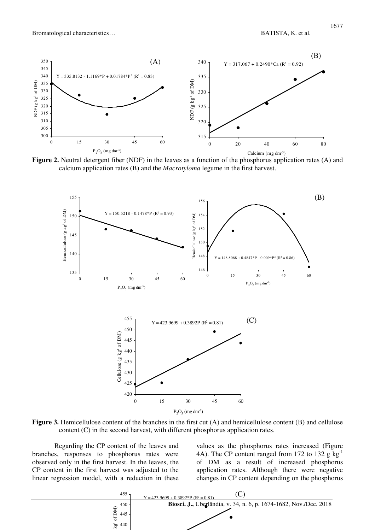

**Figure 2.** Neutral detergent fiber (NDF) in the leaves as a function of the phosphorus application rates (A) and calcium application rates (B) and the *Macrotyloma* legume in the first harvest.



**Figure 3.** Hemicellulose content of the branches in the first cut (A) and hemicellulose content (B) and cellulose content (C) in the second harvest, with different phosphorus application rates.

Regarding the CP content of the leaves and branches, responses to phosphorus rates were observed only in the first harvest. In the leaves, the CP content in the first harvest was adjusted to the linear regression model, with a reduction in these values as the phosphorus rates increased (Figure 4A). The CP content ranged from 172 to 132 g  $kg^{-1}$ of DM as a result of increased phosphorus application rates. Although there were negative changes in CP content depending on the phosphorus

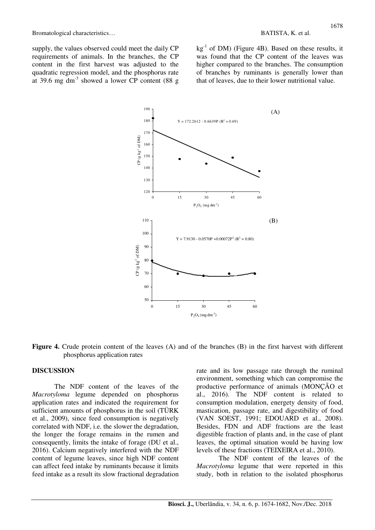supply, the values observed could meet the daily CP requirements of animals. In the branches, the CP content in the first harvest was adjusted to the quadratic regression model, and the phosphorus rate at 39.6 mg dm<sup>-3</sup> showed a lower CP content (88 g)  $kg<sup>-1</sup>$  of DM) (Figure 4B). Based on these results, it was found that the CP content of the leaves was higher compared to the branches. The consumption of branches by ruminants is generally lower than that of leaves, due to their lower nutritional value.



Figure 4. Crude protein content of the leaves (A) and of the branches (B) in the first harvest with different phosphorus application rates

#### **DISCUSSION**

The NDF content of the leaves of the *Macrotyloma* legume depended on phosphorus application rates and indicated the requirement for sufficient amounts of phosphorus in the soil (TÜRK et al., 2009), since feed consumption is negatively correlated with NDF, i.e. the slower the degradation, the longer the forage remains in the rumen and consequently, limits the intake of forage (DU et al., 2016). Calcium negatively interfered with the NDF content of legume leaves, since high NDF content can affect feed intake by ruminants because it limits feed intake as a result its slow fractional degradation

rate and its low passage rate through the ruminal environment, something which can compromise the productive performance of animals (MONÇÃO et al., 2016). The NDF content is related to consumption modulation, energety density of food, mastication, passage rate, and digestibility of food (VAN SOEST, 1991; EDOUARD et al., 2008). Besides, FDN and ADF fractions are the least digestible fraction of plants and, in the case of plant leaves, the optimal situation would be having low levels of these fractions (TEIXEIRA et al., 2010).

The NDF content of the leaves of the *Macrotyloma* legume that were reported in this study, both in relation to the isolated phosphorus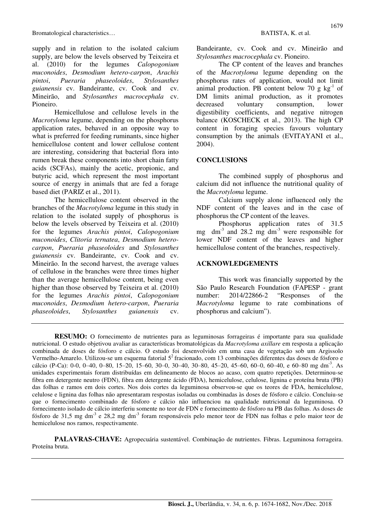supply and in relation to the isolated calcium supply, are below the levels observed by Teixeira et al. (2010) for the legumes *Calopogonium muconoides*, *Desmodium hetero-carpon*, *Arachis pintoi*, *Pueraria phaseoloides*, *Stylosanthes guianensis* cv. Bandeirante, cv. Cook and cv. Mineirão, and *Stylosanthes macrocephala* cv. Pioneiro.

Hemicellulose and cellulose levels in the *Macrotyloma* legume, depending on the phosphorus application rates, behaved in an opposite way to what is preferred for feeding ruminants, since higher hemicellulose content and lower cellulose content are interesting, considering that bacterial flora into rumen break these components into short chain fatty acids (SCFAs), mainly the acetic, propionic, and butyric acid, which represent the most important source of energy in animals that are fed a forage based diet (PARIZ et al., 2011).

The hemicellulose content observed in the branches of the *Macrotyloma* legume in this study in relation to the isolated supply of phosphorus is below the levels observed by Teixeira et al. (2010) for the legumes *Arachis pintoi*, *Calopogonium muconoides*, *Clitoria ternatea*, *Desmodium heterocarpon*, *Pueraria phaseoloides* and *Stylosanthes guianensis* cv. Bandeirante, cv. Cook and cv. Mineirão. In the second harvest, the average values of cellulose in the branches were three times higher than the average hemicellulose content, being even higher than those observed by Teixeira et al. (2010) for the legumes *Arachis pintoi*, *Calopogonium muconoides*, *Desmodium hetero-carpon*, *Pueraria phaseoloides*, *Stylosanthes guianensis* cv.

Bandeirante, cv. Cook and cv. Mineirão and *Stylosanthes macrocephala* cv. Pioneiro.

The CP content of the leaves and branches of the *Macrotyloma* legume depending on the phosphorus rates of application, would not limit animal production. PB content below 70 g  $kg^{-1}$  of DM limits animal production, as it promotes decreased voluntary consumption, lower digestibility coefficients, and negative nitrogen balance (KOSCHECK et al., 2013). The high CP content in foraging species favours voluntary consumption by the animals (EVITAYANI et al., 2004).

### **CONCLUSIONS**

The combined supply of phosphorus and calcium did not influence the nutritional quality of the *Macrotyloma* legume.

Calcium supply alone influenced only the NDF content of the leaves and in the case of phosphorus the CP content of the leaves.

Phosphorus application rates of 31.5 mg dm<sup>-3</sup> and 28.2 mg dm<sup>-3</sup> were responsible for lower NDF content of the leaves and higher hemicellulose content of the branches, respectively.

### **ACKNOWLEDGEMENTS**

This work was financially supported by the São Paulo Research Foundation (FAPESP - grant number: 2014/22866-2 "Responses of the *Macrotyloma* legume to rate combinations of phosphorus and calcium").

**RESUMO:** O fornecimento de nutrientes para as leguminosas forrageiras é importante para sua qualidade nutricional. O estudo objetivou avaliar as características bromatológicas da *Macrotyloma axillare* em resposta a aplicação combinada de doses de fósforo e cálcio. O estudo foi desenvolvido em uma casa de vegetação sob um Argissolo Vermelho-Amarelo. Utilizou-se um esquema fatorial 5<sup>2</sup> fracionado, com 13 combinações diferentes das doses de fósforo e cálcio (P-Ca): 0-0, 0-40, 0-80, 15-20, 15-60, 30-0, 30-40, 30-80, 45-20, 45-60, 60-0, 60-40, e 60-80 mg dm<sup>-3</sup>. As unidades experimentais foram distribuídas em delineamento de blocos ao acaso, com quatro repetições. Determinou-se fibra em detergente neutro (FDN), fibra em detergente ácido (FDA), hemicelulose, celulose, lignina e proteína bruta (PB) das folhas e ramos em dois cortes. Nos dois cortes da leguminosa observou-se que os teores de FDA, hemicelulose, celulose e lignina das folhas não apresentaram respostas isoladas ou combinadas às doses de fósforo e cálcio. Concluiu-se que o fornecimento combinado de fósforo e cálcio não influenciou na qualidade nutricional da leguminosa. O fornecimento isolado de cálcio interferiu somente no teor de FDN e fornecimento de fósforo na PB das folhas. As doses de fósforo de 31,5 mg dm-3 e 28,2 mg dm-3 foram responsáveis pelo menor teor de FDN nas folhas e pelo maior teor de hemicelulose nos ramos, respectivamente.

**PALAVRAS-CHAVE:** Agropecuária sustentável. Combinação de nutrientes. Fibras. Leguminosa forrageira. Proteína bruta.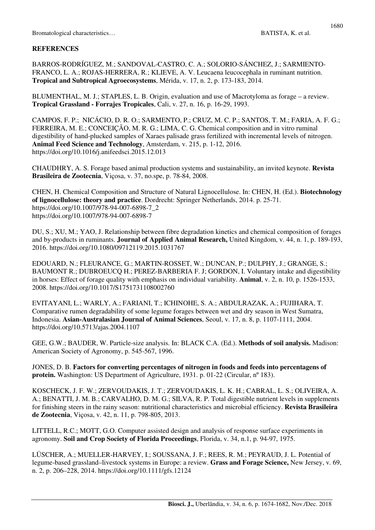# **REFERENCES**

BARROS-RODRÍGUEZ, M.; SANDOVAL-CASTRO, C. A.; SOLORIO-SÁNCHEZ, J.; SARMIENTO-FRANCO, L. A.; ROJAS-HERRERA, R.; KLIEVE, A. V. Leucaena leucocephala in ruminant nutrition. **Tropical and Subtropical Agroecosystems**, Mérida, v. 17, n. 2, p. 173-183, 2014.

BLUMENTHAL, M. J.; STAPLES, L. B. Origin, evaluation and use of Macrotyloma as forage – a review. **Tropical Grassland - Forrajes Tropicales**, Cali, v. 27, n. 16, p. 16-29, 1993.

CAMPOS, F. P.; NICÁCIO, D. R. O.; SARMENTO, P.; CRUZ, M. C. P.; SANTOS, T. M.; FARIA, A. F. G.; FERREIRA, M. E.; CONCEIÇÃO, M. R. G.; LIMA, C. G. Chemical composition and in vitro ruminal digestibility of hand-plucked samples of Xaraes palisade grass fertilized with incremental levels of nitrogen. **Animal Feed Science and Technology**, Amsterdam, v. 215, p. 1-12, 2016. https://doi.org/10.1016/j.anifeedsci.2015.12.013

CHAUDHRY, A. S. Forage based animal production systems and sustainability, an invited keynote. **Revista Brasileira de Zootecnia**, Viçosa, v. 37, no.spe, p. 78-84, 2008.

CHEN, H. Chemical Composition and Structure of Natural Lignocellulose. In: CHEN, H. (Ed.). **Biotechnology of lignocellulose: theory and practice**. Dordrecht: Springer Netherlands, 2014. p. 25-71. https://doi.org/10.1007/978-94-007-6898-7\_2 https://doi.org/10.1007/978-94-007-6898-7

DU, S.; XU, M.; YAO, J. Relationship between fibre degradation kinetics and chemical composition of forages and by-products in ruminants. **Journal of Applied Animal Research,** United Kingdom, v. 44, n. 1, p. 189-193, 2016. https://doi.org/10.1080/09712119.2015.1031767

EDOUARD, N.; FLEURANCE, G.; MARTIN-ROSSET, W.; DUNCAN, P.; DULPHY, J.; GRANGE, S.; BAUMONT R.; DUBROEUCQ H.; PEREZ-BARBERIA F. J; GORDON, I. Voluntary intake and digestibility in horses: Effect of forage quality with emphasis on individual variability. **Animal**, v. 2, n. 10, p. 1526-1533, 2008. https://doi.org/10.1017/S1751731108002760

EVITAYANI, L.; WARLY, A.; FARIANI, T.; ICHINOHE, S. A.; ABDULRAZAK, A.; FUJIHARA, T. Comparative rumen degradability of some legume forages between wet and dry season in West Sumatra, Indonesia. **Asian-Australasian Journal of Animal Sciences**, Seoul, v. 17, n. 8, p. 1107-1111, 2004. https://doi.org/10.5713/ajas.2004.1107

GEE, G.W.; BAUDER, W. Particle-size analysis. In: BLACK C.A. (Ed.). **Methods of soil analysis.** Madison: American Society of Agronomy, p. 545-567, 1996.

JONES, D. B. **Factors for converting percentages of nitrogen in foods and feeds into percentagens of protein.** Washington: US Department of Agriculture, 1931. p. 01-22 (Circular, n° 183).

KOSCHECK, J. F. W.; ZERVOUDAKIS, J. T.; ZERVOUDAKIS, L. K. H.; CABRAL, L. S.; OLIVEIRA, A. A.; BENATTI, J. M. B.; CARVALHO, D. M. G.; SILVA, R. P. Total digestible nutrient levels in supplements for finishing steers in the rainy season: nutritional characteristics and microbial efficiency. **Revista Brasileira de Zootecnia**, Viçosa, v. 42, n. 11, p. 798-805, 2013.

LITTELL, R.C.; MOTT, G.O. Computer assisted design and analysis of response surface experiments in agronomy. **Soil and Crop Society of Florida Proceedings**, Florida, v. 34, n.1, p. 94-97, 1975.

LÜSCHER, A.; MUELLER-HARVEY, I.; SOUSSANA, J. F.; REES, R. M.; PEYRAUD, J. L. Potential of legume-based grassland–livestock systems in Europe: a review. **Grass and Forage Science,** New Jersey, v. 69, n. 2, p. 206–228, 2014. https://doi.org/10.1111/gfs.12124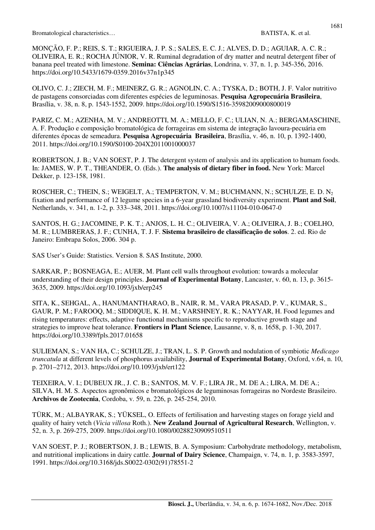MONÇÃO, F. P.; REIS, S. T.; RIGUEIRA, J. P. S.; SALES, E. C. J.; ALVES, D. D.; AGUIAR, A. C. R.; OLIVEIRA, E. R.; ROCHA JÚNIOR, V. R. Ruminal degradation of dry matter and neutral detergent fiber of banana peel treated with limestone. **Semina: Ciências Agrárias**, Londrina, v. 37, n. 1, p. 345-356, 2016. https://doi.org/10.5433/1679-0359.2016v37n1p345

OLIVO, C. J.; ZIECH, M. F.; MEINERZ, G. R.; AGNOLIN, C. A.; TYSKA, D.; BOTH, J. F. Valor nutritivo de pastagens consorciadas com diferentes espécies de leguminosas. **Pesquisa Agropecuária Brasileira**, Brasília, v. 38, n. 8, p. 1543-1552, 2009. https://doi.org/10.1590/S1516-35982009000800019

PARIZ, C. M.; AZENHA, M. V.; ANDREOTTI, M. A.; MELLO, F. C.; ULIAN, N. A.; BERGAMASCHINE, A. F. Produção e composição bromatológica de forrageiras em sistema de integração lavoura-pecuária em diferentes épocas de semeadura. **Pesquisa Agropecuária Brasileira**, Brasília, v. 46, n. 10, p. 1392-1400, 2011. https://doi.org/10.1590/S0100-204X2011001000037

ROBERTSON, J. B.; VAN SOEST, P. J. The detergent system of analysis and its application to humam foods. In: JAMES, W. P. T., THEANDER, O. (Eds.). **The analysis of dietary fiber in food.** New York: Marcel Dekker, p. 123-158, 1981.

ROSCHER, C.; THEIN, S.; WEIGELT, A.; TEMPERTON, V. M.; BUCHMANN, N.; SCHULZE, E. D. N<sub>2</sub> fixation and performance of 12 legume species in a 6-year grassland biodiversity experiment. **Plant and Soil**, Netherlands, v. 341, n. 1-2, p. 333–348, 2011. https://doi.org/10.1007/s11104-010-0647-0

SANTOS, H. G.; JACOMINE, P. K. T.; ANJOS, L. H. C.; OLIVEIRA, V. A.; OLIVEIRA, J. B.; COELHO, M. R.; LUMBRERAS, J. F.; CUNHA, T. J. F. **Sistema brasileiro de classificação de solos**. 2. ed. Rio de Janeiro: Embrapa Solos, 2006. 304 p.

SAS User's Guide: Statistics. Version 8. SAS Institute, 2000.

SARKAR, P.; BOSNEAGA, E.; AUER, M. Plant cell walls throughout evolution: towards a molecular understanding of their design principles. **Journal of Experimental Botany**, Lancaster, v. 60, n. 13, p. 3615- 3635, 2009. https://doi.org/10.1093/jxb/erp245

SITA, K., SEHGAL, A., HANUMANTHARAO, B., NAIR, R. M., VARA PRASAD, P. V., KUMAR, S., GAUR, P. M.; FAROOQ, M.; SIDDIQUE, K. H. M.; VARSHNEY, R. K.; NAYYAR, H. Food legumes and rising temperatures: effects, adaptive functional mechanisms specific to reproductive growth stage and strategies to improve heat tolerance. **Frontiers in Plant Science**, Lausanne, v. 8, n. 1658, p. 1-30, 2017. https://doi.org/10.3389/fpls.2017.01658

SULIEMAN, S.; VAN HA, C.; SCHULZE, J.; TRAN, L. S. P. Growth and nodulation of symbiotic *Medicago truncatula* at different levels of phosphorus availability, **Journal of Experimental Botany**, Oxford, v.64, n. 10, p. 2701–2712, 2013. https://doi.org/10.1093/jxb/ert122

TEIXEIRA, V. I.; DUBEUX JR., J. C. B.; SANTOS, M. V. F.; LIRA JR., M. DE A.; LIRA, M. DE A.; SILVA, H. M. S. Aspectos agronômicos e bromatológicos de leguminosas forrageiras no Nordeste Brasileiro. **Archivos de Zootecnia**, Cordoba, v. 59, n. 226, p. 245-254, 2010.

TÜRK, M.; ALBAYRAK, S.; YÜKSEL, O. Effects of fertilisation and harvesting stages on forage yield and quality of hairy vetch (*Vicia villosa* Roth.). **New Zealand Journal of Agricultural Research**, Wellington, v. 52, n. 3, p. 269-275, 2009. https://doi.org/10.1080/00288230909510511

VAN SOEST, P. J.; ROBERTSON, J. B.; LEWIS, B. A. Symposium: Carbohydrate methodology, metabolism, and nutritional implications in dairy cattle. **Journal of Dairy Science**, Champaign, v. 74, n. 1, p. 3583-3597, 1991. https://doi.org/10.3168/jds.S0022-0302(91)78551-2